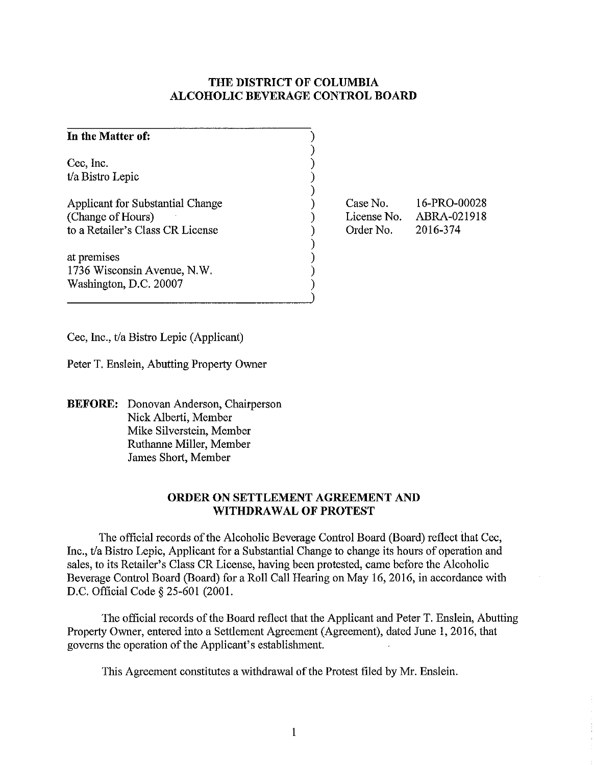## **THE DISTRICT OF COLUMBIA ALCOHOLIC BEVERAGE CONTROL BOARD**

| In the Matter of:                                                                         |                                      |                                         |
|-------------------------------------------------------------------------------------------|--------------------------------------|-----------------------------------------|
| Cec, Inc.<br>t/a Bistro Lepic                                                             |                                      |                                         |
| Applicant for Substantial Change<br>(Change of Hours)<br>to a Retailer's Class CR License | Case No.<br>License No.<br>Order No. | 16-PRO-00028<br>ABRA-021918<br>2016-374 |
| at premises<br>1736 Wisconsin Avenue, N.W.<br>Washington, D.C. 20007                      |                                      |                                         |

Cec, Inc., t/a Bistro Lepic (Applicant)

Peter T. Enslein, Abutting Property Owner

**BEFORE:** Donovan Anderson, Chairperson Nick Alberti, Member Mike Silverstein, Member Ruthanne Miller, Member James Short, Member

## **ORDER ON SETTLEMENT AGREEMENT AND WITHDRAWAL OF PROTEST**

The official records of the Alcoholic Beverage Control Board (Board) reflect that Cec, Inc., t/a Bistro Lepic, Applicant for a Substantial Change to change its hours of operation and sales, to its Retailer's Class CR License, having been protested, came before the Alcoholic Beverage Control Board (Board) for a Roll Call Hearing on May 16, 2016, in accordance with D.C. Official Code § 25-601 (2001.

The official records of the Board reflect that the Applicant and Peter T. Enslein, Abutting Property Owner, entered into a Settlement Agreement (Agreement), dated June 1,2016, that governs the operation of the Applicant's establishment.

This Agreement constitutes a withdrawal of the Protest filed by Mr. Enslein.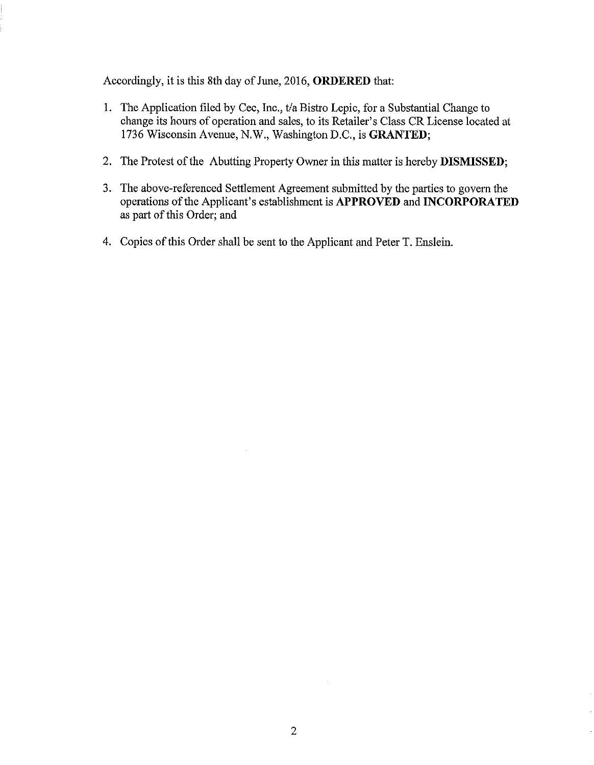Accordingly, it is this 8th day of Jnne, 2016, **ORDERED** that:

- 1. The Application filed by Cec, Inc., t/a Bistro Lepic, for a Substantial Change to change its hours of operation and sales, to its Retailer's Class CR License located at 1736 Wisconsin Avenue, N.W., Washington D.C., is **GRANTED;**
- 2. The Protest of the Abutting Property Owner in this matter is hereby **DISMISSED;**
- 3. The above-referenced Settlement Agreement submitted by the parties to govern the operations of the Applicant's establishment is **APPROVED** and **INCORPORATED**  as part of this Order; and
- 4. Copies of this Order shall be sent to the Applicant and Peter T. Enslein.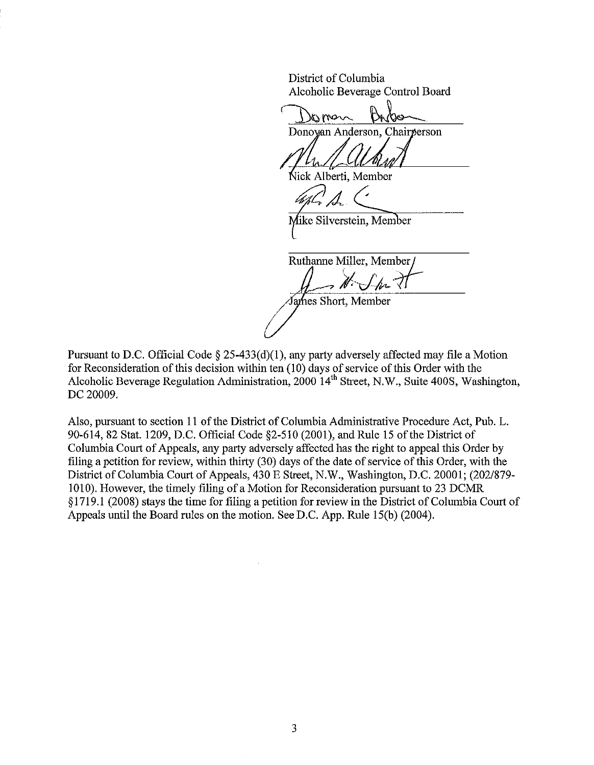District of Columbia Alcoholic Beverage Control Board

oman Donovan Anderson, Chairperson

Vick Alberti, Member

∕like Silverstein, Member

Ruthanne Miller, Member,  $\overline{\mathscr{M}}$ . Sm It fames Short, Member

Pursuant to D.C. Official Code  $\S$  25-433(d)(1), any party adversely affected may file a Motion for Reconsideration of this decision within ten (10) days of service of this Order with the Alcoholic Beverage Regulation Administration, 2000 14<sup>th</sup> Street, N.W., Suite 400S, Washington, DC 20009.

Also, pursuant to section 11 of the District of Columbia Administrative Procedure Act, Pub. L. 90-614,82 Stat. 1209, D.C. Official Code §2-510 (2001), and Rule 15 of the District of Columbia Court of Appeals, any party adversely affected has the right to appeal this Order by filing a petition for review, within thirty (30) days of the date of service of this Order, with the District of Columbia Court of Appeals, 430 E Street, N.W., Washington, D.C. 20001; (202/879-1010). However, the timely filing of a Motion for Reconsideration pursuant to 23 DCMR § 1719.1 (2008) stays the time for filing a petition for review in the District of Columbia Court of Appeals until the Board rules on the motion. See D.C. App. Rule IS(b) (2004).